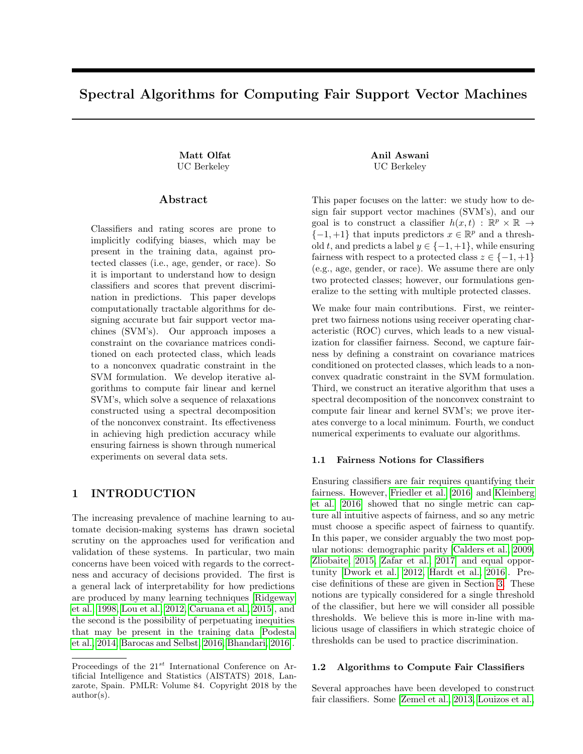# Spectral Algorithms for Computing Fair Support Vector Machines

Matt Olfat **Anil Aswani** UC Berkeley UC Berkeley

### Abstract

Classifiers and rating scores are prone to implicitly codifying biases, which may be present in the training data, against protected classes (i.e., age, gender, or race). So it is important to understand how to design classifiers and scores that prevent discrimination in predictions. This paper develops computationally tractable algorithms for designing accurate but fair support vector machines (SVM's). Our approach imposes a constraint on the covariance matrices conditioned on each protected class, which leads to a nonconvex quadratic constraint in the SVM formulation. We develop iterative algorithms to compute fair linear and kernel SVM's, which solve a sequence of relaxations constructed using a spectral decomposition of the nonconvex constraint. Its effectiveness in achieving high prediction accuracy while ensuring fairness is shown through numerical experiments on several data sets.

# 1 INTRODUCTION

The increasing prevalence of machine learning to automate decision-making systems has drawn societal scrutiny on the approaches used for verification and validation of these systems. In particular, two main concerns have been voiced with regards to the correctness and accuracy of decisions provided. The first is a general lack of interpretability for how predictions are produced by many learning techniques [\[Ridgeway](#page-8-0) [et al., 1998,](#page-8-0) [Lou et al., 2012,](#page-8-1) [Caruana et al., 2015\]](#page-8-2), and the second is the possibility of perpetuating inequities that may be present in the training data [\[Podesta](#page-8-3) [et al., 2014,](#page-8-3) [Barocas and Selbst, 2016,](#page-8-4) [Bhandari, 2016\]](#page-8-5).

This paper focuses on the latter: we study how to design fair support vector machines (SVM's), and our goal is to construct a classifier  $h(x,t)$ :  $\mathbb{R}^p \times \mathbb{R} \rightarrow$  $\{-1,+1\}$  that inputs predictors  $x \in \mathbb{R}^p$  and a threshold t, and predicts a label  $y \in \{-1, +1\}$ , while ensuring fairness with respect to a protected class  $z \in \{-1, +1\}$ (e.g., age, gender, or race). We assume there are only two protected classes; however, our formulations generalize to the setting with multiple protected classes.

We make four main contributions. First, we reinterpret two fairness notions using receiver operating characteristic (ROC) curves, which leads to a new visualization for classifier fairness. Second, we capture fairness by defining a constraint on covariance matrices conditioned on protected classes, which leads to a nonconvex quadratic constraint in the SVM formulation. Third, we construct an iterative algorithm that uses a spectral decomposition of the nonconvex constraint to compute fair linear and kernel SVM's; we prove iterates converge to a local minimum. Fourth, we conduct numerical experiments to evaluate our algorithms.

## 1.1 Fairness Notions for Classifiers

Ensuring classifiers are fair requires quantifying their fairness. However, [Friedler et al.](#page-8-6) [\[2016\]](#page-8-6) and [Kleinberg](#page-8-7) [et al.](#page-8-7) [\[2016\]](#page-8-7) showed that no single metric can capture all intuitive aspects of fairness, and so any metric must choose a specific aspect of fairness to quantify. In this paper, we consider arguably the two most popular notions: demographic parity [\[Calders et al., 2009,](#page-8-8) [Zliobaite, 2015,](#page-9-0) [Zafar et al., 2017\]](#page-9-1) and equal opportunity [\[Dwork et al., 2012,](#page-8-9) [Hardt et al., 2016\]](#page-8-10). Precise definitions of these are given in Section [3.](#page-1-0) These notions are typically considered for a single threshold of the classifier, but here we will consider all possible thresholds. We believe this is more in-line with malicious usage of classifiers in which strategic choice of thresholds can be used to practice discrimination.

### 1.2 Algorithms to Compute Fair Classifiers

Several approaches have been developed to construct fair classifiers. Some [\[Zemel et al., 2013,](#page-9-2) [Louizos et al.,](#page-8-11)

Proceedings of the  $21^{st}$  International Conference on Artificial Intelligence and Statistics (AISTATS) 2018, Lanzarote, Spain. PMLR: Volume 84. Copyright 2018 by the author(s).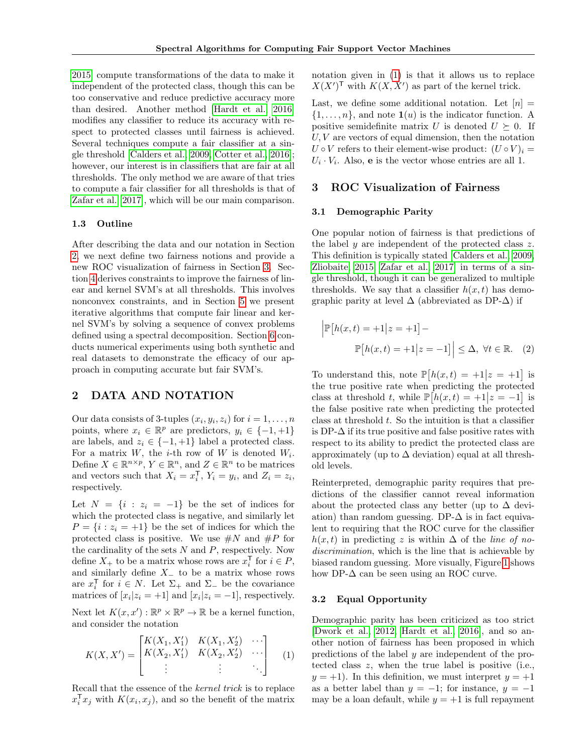[2015\]](#page-8-11) compute transformations of the data to make it independent of the protected class, though this can be too conservative and reduce predictive accuracy more than desired. Another method [\[Hardt et al., 2016\]](#page-8-10) modifies any classifier to reduce its accuracy with respect to protected classes until fairness is achieved. Several techniques compute a fair classifier at a single threshold [\[Calders et al., 2009,](#page-8-8) [Cotter et al., 2016\]](#page-8-12); however, our interest is in classifiers that are fair at all thresholds. The only method we are aware of that tries to compute a fair classifier for all thresholds is that of [Zafar et al.](#page-9-1) [\[2017\]](#page-9-1), which will be our main comparison.

### 1.3 Outline

After describing the data and our notation in Section [2,](#page-1-1) we next define two fairness notions and provide a new ROC visualization of fairness in Section [3.](#page-1-0) Section [4](#page-2-0) derives constraints to improve the fairness of linear and kernel SVM's at all thresholds. This involves nonconvex constraints, and in Section [5](#page-4-0) we present iterative algorithms that compute fair linear and kernel SVM's by solving a sequence of convex problems defined using a spectral decomposition. Section [6](#page-6-0) conducts numerical experiments using both synthetic and real datasets to demonstrate the efficacy of our approach in computing accurate but fair SVM's.

# <span id="page-1-1"></span>2 DATA AND NOTATION

Our data consists of 3-tuples  $(x_i, y_i, z_i)$  for  $i = 1, \ldots, n$ points, where  $x_i \in \mathbb{R}^p$  are predictors,  $y_i \in \{-1, +1\}$ are labels, and  $z_i \in \{-1, +1\}$  label a protected class. For a matrix  $W$ , the *i*-th row of  $W$  is denoted  $W_i$ . Define  $X \in \mathbb{R}^{n \times p}$ ,  $Y \in \mathbb{R}^n$ , and  $Z \in \mathbb{R}^n$  to be matrices and vectors such that  $X_i = x_i^{\mathsf{T}}, Y_i = y_i$ , and  $Z_i = z_i$ , respectively.

Let  $N = \{i : z_i = -1\}$  be the set of indices for which the protected class is negative, and similarly let  $P = \{i : z_i = +1\}$  be the set of indices for which the protected class is positive. We use  $\#N$  and  $\#P$  for the cardinality of the sets  $N$  and  $P$ , respectively. Now define  $X_+$  to be a matrix whose rows are  $x_i^{\mathsf{T}}$  for  $i \in P$ , and similarly define  $X_$  to be a matrix whose rows are  $x_i^{\mathsf{T}}$  for  $i \in N$ . Let  $\Sigma_+$  and  $\Sigma_-$  be the covariance matrices of  $[x_i|z_i = +1]$  and  $[x_i|z_i = -1]$ , respectively.

Next let  $K(x, x') : \mathbb{R}^p \times \mathbb{R}^p \to \mathbb{R}$  be a kernel function, and consider the notation

<span id="page-1-2"></span>
$$
K(X, X') = \begin{bmatrix} K(X_1, X'_1) & K(X_1, X'_2) & \cdots \\ K(X_2, X'_1) & K(X_2, X'_2) & \cdots \\ \vdots & \vdots & \ddots \end{bmatrix}
$$
 (1)

Recall that the essence of the kernel trick is to replace  $x_i^{\mathsf{T}} x_j$  with  $K(x_i, x_j)$ , and so the benefit of the matrix

notation given in [\(1\)](#page-1-2) is that it allows us to replace  $X(X')^{\mathsf{T}}$  with  $K(X, X')$  as part of the kernel trick.

Last, we define some additional notation. Let  $[n] =$  $\{1, \ldots, n\}$ , and note  $\mathbf{1}(u)$  is the indicator function. A positive semidefinite matrix U is denoted  $U \succeq 0$ . If  $U, V$  are vectors of equal dimension, then the notation  $U \circ V$  refers to their element-wise product:  $(U \circ V)_i =$  $U_i \cdot V_i$ . Also, **e** is the vector whose entries are all 1.

### <span id="page-1-0"></span>3 ROC Visualization of Fairness

#### 3.1 Demographic Parity

One popular notion of fairness is that predictions of the label y are independent of the protected class  $z$ . This definition is typically stated [\[Calders et al., 2009,](#page-8-8) [Zliobaite, 2015,](#page-9-0) [Zafar et al., 2017\]](#page-9-1) in terms of a single threshold, though it can be generalized to multiple thresholds. We say that a classifier  $h(x, t)$  has demographic parity at level  $\Delta$  (abbreviated as DP- $\Delta$ ) if

<span id="page-1-3"></span>
$$
\left| \mathbb{P}\left[h(x,t) = +1 \middle| z = +1 \right] - \right|
$$

$$
\mathbb{P}\left[h(x,t) = +1 \middle| z = -1 \right] \leq \Delta, \ \forall t \in \mathbb{R}. \tag{2}
$$

To understand this, note  $\mathbb{P}[h(x,t) = +1|z = +1]$  is the true positive rate when predicting the protected class at threshold t, while  $\mathbb{P}[h(x,t) = +1 | z = -1]$  is the false positive rate when predicting the protected class at threshold  $t$ . So the intuition is that a classifier is DP- $\Delta$  if its true positive and false positive rates with respect to its ability to predict the protected class are approximately (up to  $\Delta$  deviation) equal at all threshold levels.

Reinterpreted, demographic parity requires that predictions of the classifier cannot reveal information about the protected class any better (up to  $\Delta$  deviation) than random guessing. DP- $\Delta$  is in fact equivalent to requiring that the ROC curve for the classifier  $h(x, t)$  in predicting z is within  $\Delta$  of the line of nodiscrimination, which is the line that is achievable by biased random guessing. More visually, Figure [1](#page-2-1) shows how DP- $\Delta$  can be seen using an ROC curve.

### 3.2 Equal Opportunity

Demographic parity has been criticized as too strict [\[Dwork et al., 2012,](#page-8-9) [Hardt et al., 2016\]](#page-8-10), and so another notion of fairness has been proposed in which predictions of the label y are independent of the protected class z, when the true label is positive (i.e.,  $y = +1$ ). In this definition, we must interpret  $y = +1$ as a better label than  $y = -1$ ; for instance,  $y = -1$ may be a loan default, while  $y = +1$  is full repayment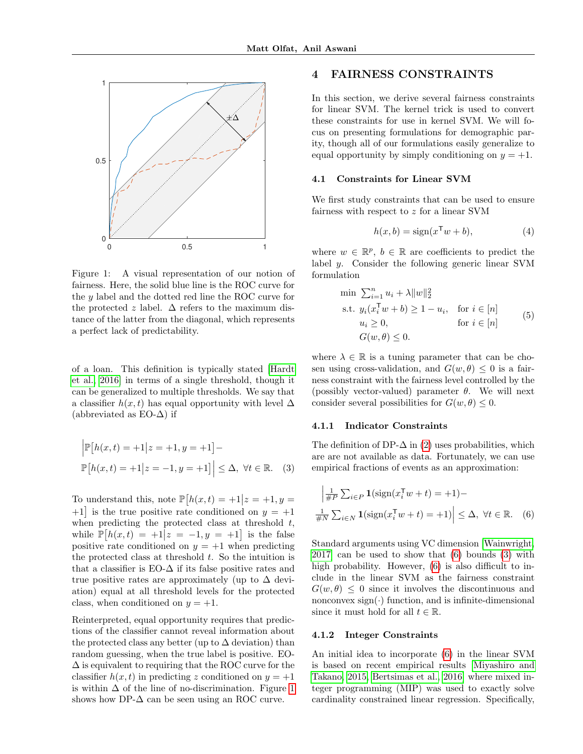<span id="page-2-1"></span>

Figure 1: A visual representation of our notion of fairness. Here, the solid blue line is the ROC curve for the y label and the dotted red line the ROC curve for the protected z label.  $\Delta$  refers to the maximum distance of the latter from the diagonal, which represents a perfect lack of predictability.

of a loan. This definition is typically stated [\[Hardt](#page-8-10) [et al., 2016\]](#page-8-10) in terms of a single threshold, though it can be generalized to multiple thresholds. We say that a classifier  $h(x, t)$  has equal opportunity with level  $\Delta$ (abbreviated as  $EO$ - $\Delta$ ) if

$$
\left| \mathbb{P}[h(x,t) = +1 | z = +1, y = +1] - \right|
$$
  

$$
\mathbb{P}[h(x,t) = +1 | z = -1, y = +1] \leq \Delta, \forall t \in \mathbb{R}. \quad (3)
$$

To understand this, note  $\mathbb{P}[h(x,t) = +1]z = +1, y =$  $+1$  is the true positive rate conditioned on  $y = +1$ when predicting the protected class at threshold  $t$ , while  $\mathbb{P}[h(x,t) = +1 | z = -1, y = +1]$  is the false positive rate conditioned on  $y = +1$  when predicting the protected class at threshold  $t$ . So the intuition is that a classifier is  $E_0$ - $\Delta$  if its false positive rates and true positive rates are approximately (up to  $\Delta$  deviation) equal at all threshold levels for the protected class, when conditioned on  $y = +1$ .

Reinterpreted, equal opportunity requires that predictions of the classifier cannot reveal information about the protected class any better (up to  $\Delta$  deviation) than random guessing, when the true label is positive. EO-  $\Delta$  is equivalent to requiring that the ROC curve for the classifier  $h(x, t)$  in predicting z conditioned on  $y = +1$ is within  $\Delta$  of the line of no-discrimination. Figure [1](#page-2-1) shows how DP- $\Delta$  can be seen using an ROC curve.

# <span id="page-2-0"></span>4 FAIRNESS CONSTRAINTS

In this section, we derive several fairness constraints for linear SVM. The kernel trick is used to convert these constraints for use in kernel SVM. We will focus on presenting formulations for demographic parity, though all of our formulations easily generalize to equal opportunity by simply conditioning on  $y = +1$ .

#### 4.1 Constraints for Linear SVM

We first study constraints that can be used to ensure fairness with respect to z for a linear SVM

$$
h(x,b) = sign(x^{\mathsf{T}}w + b),\tag{4}
$$

where  $w \in \mathbb{R}^p$ ,  $b \in \mathbb{R}$  are coefficients to predict the label y. Consider the following generic linear SVM formulation

$$
\min \sum_{i=1}^{n} u_i + \lambda ||w||_2^2
$$
\n
$$
\text{s.t. } y_i(x_i^{\mathsf{T}} w + b) \ge 1 - u_i, \quad \text{for } i \in [n]
$$
\n
$$
u_i \ge 0, \qquad \text{for } i \in [n]
$$
\n
$$
G(w, \theta) \le 0.
$$
\n
$$
(5)
$$

where  $\lambda \in \mathbb{R}$  is a tuning parameter that can be chosen using cross-validation, and  $G(w, \theta) \leq 0$  is a fairness constraint with the fairness level controlled by the (possibly vector-valued) parameter  $\theta$ . We will next consider several possibilities for  $G(w, \theta) \leq 0$ .

#### 4.1.1 Indicator Constraints

<span id="page-2-3"></span>The definition of DP- $\Delta$  in [\(2\)](#page-1-3) uses probabilities, which are are not available as data. Fortunately, we can use empirical fractions of events as an approximation:

<span id="page-2-2"></span>
$$
\left| \frac{1}{\#P} \sum_{i \in P} \mathbf{1}(\text{sign}(x_i^{\mathsf{T}} w + t) = +1) - \frac{1}{\#N} \sum_{i \in N} \mathbf{1}(\text{sign}(x_i^{\mathsf{T}} w + t) = +1) \right| \leq \Delta, \ \forall t \in \mathbb{R}. \tag{6}
$$

Standard arguments using VC dimension [\[Wainwright,](#page-9-3) [2017\]](#page-9-3) can be used to show that [\(6\)](#page-2-2) bounds [\(3\)](#page-2-3) with high probability. However,  $(6)$  is also difficult to include in the linear SVM as the fairness constraint  $G(w, \theta) \leq 0$  since it involves the discontinuous and nonconvex  $sign(\cdot)$  function, and is infinite-dimensional since it must hold for all  $t \in \mathbb{R}$ .

#### <span id="page-2-4"></span>4.1.2 Integer Constraints

An initial idea to incorporate [\(6\)](#page-2-2) in the linear SVM is based on recent empirical results [\[Miyashiro and](#page-8-13) [Takano, 2015,](#page-8-13) [Bertsimas et al., 2016\]](#page-8-14) where mixed integer programming (MIP) was used to exactly solve cardinality constrained linear regression. Specifically,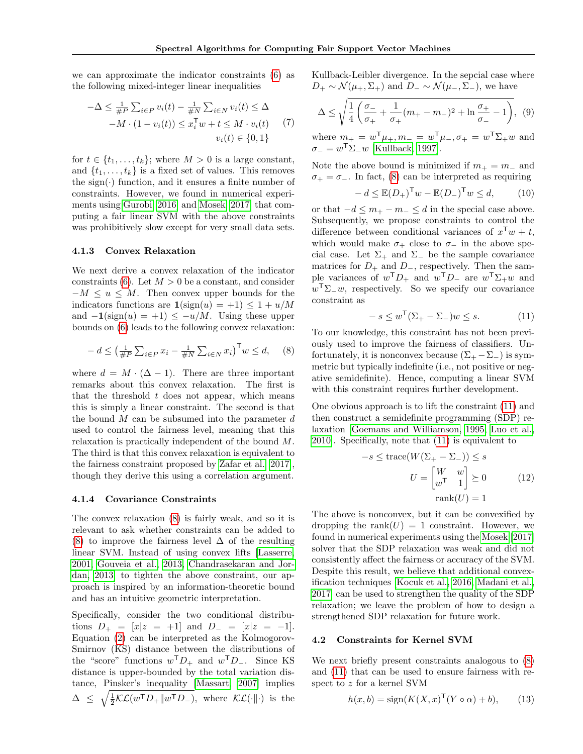we can approximate the indicator constraints [\(6\)](#page-2-2) as the following mixed-integer linear inequalities

$$
-\Delta \leq \frac{1}{\#P} \sum_{i \in P} v_i(t) - \frac{1}{\#N} \sum_{i \in N} v_i(t) \leq \Delta
$$
  
-M \cdot (1 - v\_i(t)) \leq x\_i^{\mathsf{T}} w + t \leq M \cdot v\_i(t) \qquad (7)  

$$
v_i(t) \in \{0, 1\}
$$

for  $t \in \{t_1, \ldots, t_k\}$ ; where  $M > 0$  is a large constant, and  $\{t_1, \ldots, t_k\}$  is a fixed set of values. This removes the sign $(\cdot)$  function, and it ensures a finite number of constraints. However, we found in numerical experiments using [Gurobi](#page-8-15) [\[2016\]](#page-8-15) and [Mosek](#page-8-16) [\[2017\]](#page-8-16) that computing a fair linear SVM with the above constraints was prohibitively slow except for very small data sets.

#### <span id="page-3-2"></span>4.1.3 Convex Relaxation

We next derive a convex relaxation of the indicator constraints [\(6\)](#page-2-2). Let  $M > 0$  be a constant, and consider  $-M \leq u \leq M$ . Then convex upper bounds for the indicators functions are  $\mathbf{1}(\text{sign}(u) = +1) \leq 1 + u/M$ and  $-1$ (sign(u) = +1) <  $-u/M$ . Using these upper bounds on [\(6\)](#page-2-2) leads to the following convex relaxation:

<span id="page-3-0"></span>
$$
-d \le \left(\frac{1}{\#P}\sum_{i\in P}x_i - \frac{1}{\#N}\sum_{i\in N}x_i\right)^{\mathsf{T}} w \le d,\quad (8)
$$

where  $d = M \cdot (\Delta - 1)$ . There are three important remarks about this convex relaxation. The first is that the threshold  $t$  does not appear, which means this is simply a linear constraint. The second is that the bound  $M$  can be subsumed into the parameter  $d$ used to control the fairness level, meaning that this relaxation is practically independent of the bound M. The third is that this convex relaxation is equivalent to the fairness constraint proposed by [Zafar et al.](#page-9-1) [\[2017\]](#page-9-1), though they derive this using a correlation argument.

#### 4.1.4 Covariance Constraints

The convex relaxation [\(8\)](#page-3-0) is fairly weak, and so it is relevant to ask whether constraints can be added to [\(8\)](#page-3-0) to improve the fairness level  $\Delta$  of the resulting linear SVM. Instead of using convex lifts [\[Lasserre,](#page-8-17) [2001,](#page-8-17) [Gouveia et al., 2013,](#page-8-18) [Chandrasekaran and Jor](#page-8-19)[dan, 2013\]](#page-8-19) to tighten the above constraint, our approach is inspired by an information-theoretic bound and has an intuitive geometric interpretation.

Specifically, consider the two conditional distributions  $D_+ = [x|z = +1]$  and  $D_- = [x|z = -1]$ . Equation [\(2\)](#page-1-3) can be interpreted as the Kolmogorov-Smirnov (KS) distance between the distributions of the "score" functions  $w^{\mathsf{T}}D_+$  and  $w^{\mathsf{T}}D_-$ . Since KS distance is upper-bounded by the total variation distance, Pinsker's inequality [\[Massart, 2007\]](#page-8-20) implies  $\Delta \leq \sqrt{\frac{1}{2}\mathcal{KL}(w^{\mathsf{T}}D_{+}||w^{\mathsf{T}}D_{-})},$  where  $\mathcal{KL}(\cdot||\cdot)$  is the

Kullback-Leibler divergence. In the sepcial case where  $D_+ \sim \mathcal{N}(\mu_+, \Sigma_+)$  and  $D_- \sim \mathcal{N}(\mu_-, \Sigma_-)$ , we have

$$
\Delta \le \sqrt{\frac{1}{4} \left( \frac{\sigma_-}{\sigma_+} + \frac{1}{\sigma_+} (m_+ - m_-)^2 + \ln \frac{\sigma_+}{\sigma_-} - 1 \right)}, \quad (9)
$$

where  $m_{+} = w^{\mathsf{T}} \mu_{+}, m_{-} = w^{\mathsf{T}} \mu_{-}, \sigma_{+} = w^{\mathsf{T}} \Sigma_{+} w$  and  $\sigma_- = w^{\mathsf{T}} \Sigma_- w$  [\[Kullback, 1997\]](#page-8-21).

Note the above bound is minimized if  $m_+ = m_-$  and  $\sigma_+ = \sigma_-$ . In fact, [\(8\)](#page-3-0) can be interpreted as requiring

$$
-d \le \mathbb{E}(D_+)^{\mathsf{T}} w - \mathbb{E}(D_-)^{\mathsf{T}} w \le d,\tag{10}
$$

or that  $-d \leq m_+ - m_- \leq d$  in the special case above. Subsequently, we propose constraints to control the difference between conditional variances of  $x^Tw + t$ , which would make  $\sigma_+$  close to  $\sigma_-$  in the above special case. Let  $\Sigma_+$  and  $\Sigma_-$  be the sample covariance matrices for  $D_+$  and  $D_-$ , respectively. Then the sample variances of  $w^{\mathsf{T}}D_+$  and  $w^{\mathsf{T}}D_-$  are  $w^{\mathsf{T}}\Sigma_+w$  and  $w^{\mathsf{T}}\Sigma_{-}w$ , respectively. So we specify our covariance constraint as

<span id="page-3-1"></span>
$$
-s \le w^{\mathsf{T}}(\Sigma_+ - \Sigma_-)w \le s. \tag{11}
$$

To our knowledge, this constraint has not been previously used to improve the fairness of classifiers. Unfortunately, it is nonconvex because  $(\Sigma_{+} - \Sigma_{-})$  is symmetric but typically indefinite (i.e., not positive or negative semidefinite). Hence, computing a linear SVM with this constraint requires further development.

One obvious approach is to lift the constraint [\(11\)](#page-3-1) and then construct a semidefinite programming (SDP) relaxation [\[Goemans and Williamson, 1995,](#page-8-22) [Luo et al.,](#page-8-23) [2010\]](#page-8-23). Specifically, note that [\(11\)](#page-3-1) is equivalent to

$$
-s \le \operatorname{trace}(W(\Sigma_{+} - \Sigma_{-})) \le s
$$

$$
U = \begin{bmatrix} W & w \\ w^{\mathsf{T}} & 1 \end{bmatrix} \succeq 0 \tag{12}
$$

$$
\operatorname{rank}(U) = 1
$$

The above is nonconvex, but it can be convexified by dropping the rank $(U) = 1$  constraint. However, we found in numerical experiments using the [Mosek](#page-8-16) [\[2017\]](#page-8-16) solver that the SDP relaxation was weak and did not consistently affect the fairness or accuracy of the SVM. Despite this result, we believe that additional convexification techniques [\[Kocuk et al., 2016,](#page-8-24) [Madani et al.,](#page-8-25) [2017\]](#page-8-25) can be used to strengthen the quality of the SDP relaxation; we leave the problem of how to design a strengthened SDP relaxation for future work.

### 4.2 Constraints for Kernel SVM

We next briefly present constraints analogous to [\(8\)](#page-3-0) and [\(11\)](#page-3-1) that can be used to ensure fairness with respect to z for a kernel SVM

$$
h(x, b) = sign(K(X, x)^{\mathsf{T}}(Y \circ \alpha) + b), \qquad (13)
$$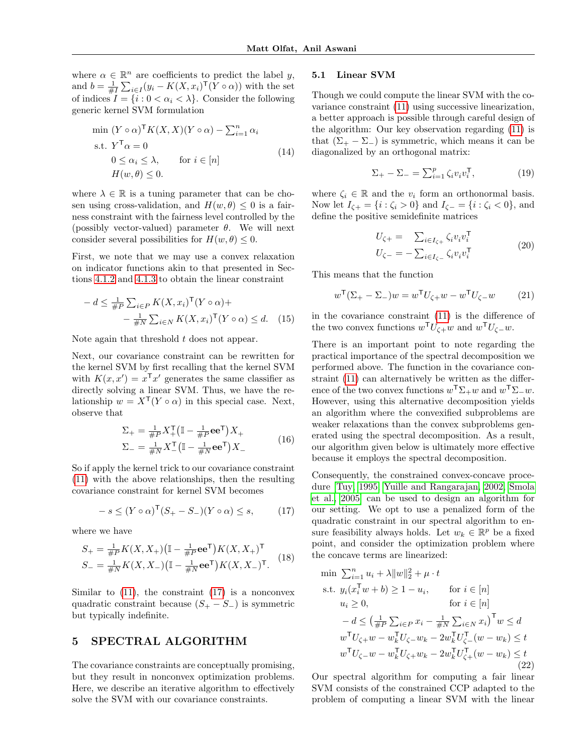where  $\alpha \in \mathbb{R}^n$  are coefficients to predict the label y, and  $b = \frac{1}{\#I} \sum_{i \in I} (y_i - K(X, x_i)^{\mathsf{T}} (Y \circ \alpha))$  with the set of indices  $I = \{i : 0 < \alpha_i < \lambda\}$ . Consider the following generic kernel SVM formulation

$$
\min (Y \circ \alpha)^{\mathsf{T}} K(X, X)(Y \circ \alpha) - \sum_{i=1}^{n} \alpha_i
$$
\n
$$
\text{s.t. } Y^{\mathsf{T}} \alpha = 0
$$
\n
$$
0 \le \alpha_i \le \lambda, \qquad \text{for } i \in [n]
$$
\n
$$
H(w, \theta) \le 0.
$$
\n
$$
(14)
$$

where  $\lambda \in \mathbb{R}$  is a tuning parameter that can be chosen using cross-validation, and  $H(w, \theta) \leq 0$  is a fairness constraint with the fairness level controlled by the (possibly vector-valued) parameter  $\theta$ . We will next consider several possibilities for  $H(w, \theta) \leq 0$ .

First, we note that we may use a convex relaxation on indicator functions akin to that presented in Sections [4.1.2](#page-2-4) and [4.1.3](#page-3-2) to obtain the linear constraint

$$
- d \leq \frac{1}{\#P} \sum_{i \in P} K(X, x_i)^{\mathsf{T}} (Y \circ \alpha) +
$$

$$
- \frac{1}{\#N} \sum_{i \in N} K(X, x_i)^{\mathsf{T}} (Y \circ \alpha) \leq d. \quad (15)
$$

Note again that threshold  $t$  does not appear.

Next, our covariance constraint can be rewritten for the kernel SVM by first recalling that the kernel SVM with  $K(x, x') = x^{\mathsf{T}} x'$  generates the same classifier as directly solving a linear SVM. Thus, we have the relationship  $w = X^{\mathsf{T}}(Y \circ \alpha)$  in this special case. Next, observe that

$$
\Sigma_{+} = \frac{1}{\#P} X_{+}^{\mathsf{T}} \left( \mathbb{I} - \frac{1}{\#P} \mathbf{e} \mathbf{e}^{\mathsf{T}} \right) X_{+}
$$
\n
$$
\Sigma_{-} = \frac{1}{\#N} X_{-}^{\mathsf{T}} \left( \mathbb{I} - \frac{1}{\#N} \mathbf{e} \mathbf{e}^{\mathsf{T}} \right) X_{-}
$$
\n(16)

So if apply the kernel trick to our covariance constraint [\(11\)](#page-3-1) with the above relationships, then the resulting covariance constraint for kernel SVM becomes

<span id="page-4-1"></span>
$$
-s \le (Y \circ \alpha)^{\mathsf{T}} (S_{+} - S_{-})(Y \circ \alpha) \le s, \qquad (17)
$$

where we have

$$
S_{+} = \frac{1}{\#P} K(X, X_{+}) (\mathbb{I} - \frac{1}{\#P} \mathbf{e} \mathbf{e}^{\mathsf{T}}) K(X, X_{+})^{\mathsf{T}}
$$
  
\n
$$
S_{-} = \frac{1}{\#N} K(X, X_{-}) (\mathbb{I} - \frac{1}{\#N} \mathbf{e} \mathbf{e}^{\mathsf{T}}) K(X, X_{-})^{\mathsf{T}}.
$$
 (18)

Similar to  $(11)$ , the constraint  $(17)$  is a nonconvex quadratic constraint because  $(S_{+} - S_{-})$  is symmetric but typically indefinite.

# <span id="page-4-0"></span>5 SPECTRAL ALGORITHM

The covariance constraints are conceptually promising, but they result in nonconvex optimization problems. Here, we describe an iterative algorithm to effectively solve the SVM with our covariance constraints.

#### <span id="page-4-4"></span>5.1 Linear SVM

Though we could compute the linear SVM with the covariance constraint [\(11\)](#page-3-1) using successive linearization, a better approach is possible through careful design of the algorithm: Our key observation regarding [\(11\)](#page-3-1) is that  $(\Sigma_+ - \Sigma_-)$  is symmetric, which means it can be diagonalized by an orthogonal matrix:

$$
\Sigma_{+} - \Sigma_{-} = \sum_{i=1}^{p} \zeta_i v_i v_i^{\mathsf{T}}, \tag{19}
$$

where  $\zeta_i \in \mathbb{R}$  and the  $v_i$  form an orthonormal basis. Now let  $I_{\zeta+} = \{i : \zeta_i > 0\}$  and  $I_{\zeta-} = \{i : \zeta_i < 0\}$ , and define the positive semidefinite matrices

$$
U_{\zeta+} = \sum_{i \in I_{\zeta+}} \zeta_i v_i v_i^{\mathsf{T}}
$$
  

$$
U_{\zeta-} = -\sum_{i \in I_{\zeta-}} \zeta_i v_i v_i^{\mathsf{T}}
$$
 (20)

This means that the function

$$
w^{\mathsf{T}}(\Sigma_{+} - \Sigma_{-})w = w^{\mathsf{T}}U_{\zeta +}w - w^{\mathsf{T}}U_{\zeta -}w \qquad (21)
$$

<span id="page-4-3"></span>in the covariance constraint [\(11\)](#page-3-1) is the difference of the two convex functions  $w^{\mathsf{T}}U_{\zeta+}w$  and  $w^{\mathsf{T}}U_{\zeta-w}$ .

There is an important point to note regarding the practical importance of the spectral decomposition we performed above. The function in the covariance constraint [\(11\)](#page-3-1) can alternatively be written as the difference of the two convex functions  $w^{\mathsf{T}}\Sigma_+w$  and  $w^{\mathsf{T}}\Sigma_-w$ . However, using this alternative decomposition yields an algorithm where the convexified subproblems are weaker relaxations than the convex subproblems generated using the spectral decomposition. As a result, our algorithm given below is ultimately more effective because it employs the spectral decomposition.

Consequently, the constrained convex-concave procedure [\[Tuy, 1995,](#page-8-26) [Yuille and Rangarajan, 2002,](#page-9-4) [Smola](#page-8-27) [et al., 2005\]](#page-8-27) can be used to design an algorithm for our setting. We opt to use a penalized form of the quadratic constraint in our spectral algorithm to ensure feasibility always holds. Let  $w_k \in \mathbb{R}^p$  be a fixed point, and consider the optimization problem where the concave terms are linearized:

<span id="page-4-2"></span>
$$
\begin{aligned}\n\min \ &\sum_{i=1}^{n} u_i + \lambda \|w\|_2^2 + \mu \cdot t \\
\text{s.t. } &y_i(x_i^{\mathsf{T}} w + b) \ge 1 - u_i, \qquad \text{for } i \in [n] \\
& u_i \ge 0, \qquad \qquad \text{for } i \in [n] \\
&- d \le \left(\frac{1}{\#P} \sum_{i \in P} x_i - \frac{1}{\#N} \sum_{i \in N} x_i\right)^{\mathsf{T}} w \le d \\
& w^{\mathsf{T}} U_{\zeta + w} - w_k^{\mathsf{T}} U_{\zeta - w_k} - 2w_k^{\mathsf{T}} U_{\zeta - w}^{\mathsf{T}} (w - w_k) \le t \\
& w^{\mathsf{T}} U_{\zeta - w} - w_k^{\mathsf{T}} U_{\zeta + w_k} - 2w_k^{\mathsf{T}} U_{\zeta +}^{\mathsf{T}} (w - w_k) \le t \\
& (22)\n\end{aligned}
$$

Our spectral algorithm for computing a fair linear SVM consists of the constrained CCP adapted to the problem of computing a linear SVM with the linear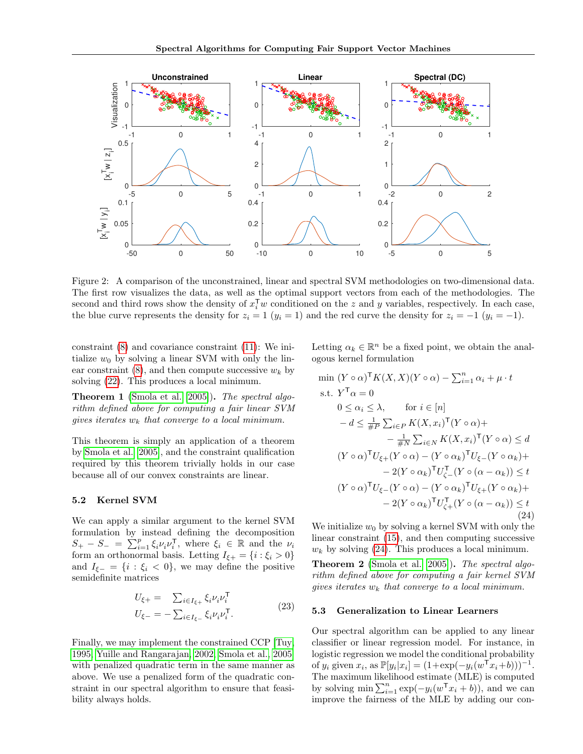<span id="page-5-1"></span>

Figure 2: A comparison of the unconstrained, linear and spectral SVM methodologies on two-dimensional data. The first row visualizes the data, as well as the optimal support vectors from each of the methodologies. The second and third rows show the density of  $x_i^Tw$  conditioned on the z and y variables, respectively. In each case, the blue curve represents the density for  $z_i = 1$   $(y_i = 1)$  and the red curve the density for  $z_i = -1$   $(y_i = -1)$ .

constraint [\(8\)](#page-3-0) and covariance constraint [\(11\)](#page-3-1): We initialize  $w_0$  by solving a linear SVM with only the linear constraint  $(8)$ , and then compute successive  $w_k$  by solving [\(22\)](#page-4-2). This produces a local minimum.

Theorem 1 [\(Smola et al.](#page-8-27) [\[2005\]](#page-8-27)). The spectral algorithm defined above for computing a fair linear SVM gives iterates  $w_k$  that converge to a local minimum.

This theorem is simply an application of a theorem by [Smola et al.](#page-8-27) [\[2005\]](#page-8-27), and the constraint qualification required by this theorem trivially holds in our case because all of our convex constraints are linear.

### 5.2 Kernel SVM

We can apply a similar argument to the kernel SVM formulation by instead defining the decomposition  $S_+ - S_- = \sum_{i=1}^p \xi_i \nu_i \nu_i^{\mathsf{T}}$ , where  $\xi_i \in \mathbb{R}$  and the  $\nu_i$ form an orthonormal basis. Letting  $I_{\xi+} = \{i : \xi_i > 0\}$ and  $I_{\xi-} = \{i : \xi_i < 0\}$ , we may define the positive semidefinite matrices

$$
U_{\xi+} = \sum_{i \in I_{\xi+}} \xi_i \nu_i \nu_i^{\mathsf{T}}
$$
  

$$
U_{\xi-} = -\sum_{i \in I_{\xi-}} \xi_i \nu_i \nu_i^{\mathsf{T}}.
$$
 (23)

Finally, we may implement the constrained CCP [\[Tuy,](#page-8-26) [1995,](#page-8-26) [Yuille and Rangarajan, 2002,](#page-9-4) [Smola et al., 2005\]](#page-8-27) with penalized quadratic term in the same manner as above. We use a penalized form of the quadratic constraint in our spectral algorithm to ensure that feasibility always holds.

Letting  $\alpha_k \in \mathbb{R}^n$  be a fixed point, we obtain the analogous kernel formulation

<span id="page-5-0"></span>
$$
\begin{aligned}\n\min \left( Y \circ \alpha \right)^{\mathsf{T}} K(X, X)(Y \circ \alpha) - \sum_{i=1}^{n} \alpha_{i} + \mu \cdot t \\
\text{s.t. } Y^{\mathsf{T}} \alpha &= 0 \\
0 &\leq \alpha_{i} \leq \lambda, \qquad \text{for } i \in [n] \\
-d &\leq \frac{1}{\# P} \sum_{i \in P} K(X, x_{i})^{\mathsf{T}} (Y \circ \alpha) + \\
&\quad - \frac{1}{\# N} \sum_{i \in N} K(X, x_{i})^{\mathsf{T}} (Y \circ \alpha) &\leq d \\
(Y \circ \alpha)^{\mathsf{T}} U_{\xi+} (Y \circ \alpha) - (Y \circ \alpha_{k})^{\mathsf{T}} U_{\xi-} (Y \circ \alpha_{k}) + \\
&\quad - 2(Y \circ \alpha_{k})^{\mathsf{T}} U_{\zeta-}^{\mathsf{T}} (Y \circ (\alpha - \alpha_{k})) &\leq t \\
(Y \circ \alpha)^{\mathsf{T}} U_{\xi-} (Y \circ \alpha) - (Y \circ \alpha_{k})^{\mathsf{T}} U_{\xi+} (Y \circ \alpha_{k}) + \\
&\quad - 2(Y \circ \alpha_{k})^{\mathsf{T}} U_{\zeta+}^{\mathsf{T}} (Y \circ (\alpha - \alpha_{k})) &\leq t \\
&\quad (24)\n\end{aligned}
$$

We initialize  $w_0$  by solving a kernel SVM with only the linear constraint [\(15\)](#page-4-3), and then computing successive  $w_k$  by solving [\(24\)](#page-5-0). This produces a local minimum.

Theorem 2 [\(Smola et al.](#page-8-27) [\[2005\]](#page-8-27)). The spectral algorithm defined above for computing a fair kernel SVM gives iterates  $w_k$  that converge to a local minimum.

#### 5.3 Generalization to Linear Learners

Our spectral algorithm can be applied to any linear classifier or linear regression model. For instance, in logistic regression we model the conditional probability of  $y_i$  given  $x_i$ , as  $\mathbb{P}[y_i|x_i] = (1 + \exp(-y_i(w^T x_i + b)))^{-1}$ . The maximum likelihood estimate (MLE) is computed by solving  $\min \sum_{i=1}^{n} \exp(-y_i(w^{\mathsf{T}} x_i + b))$ , and we can improve the fairness of the MLE by adding our con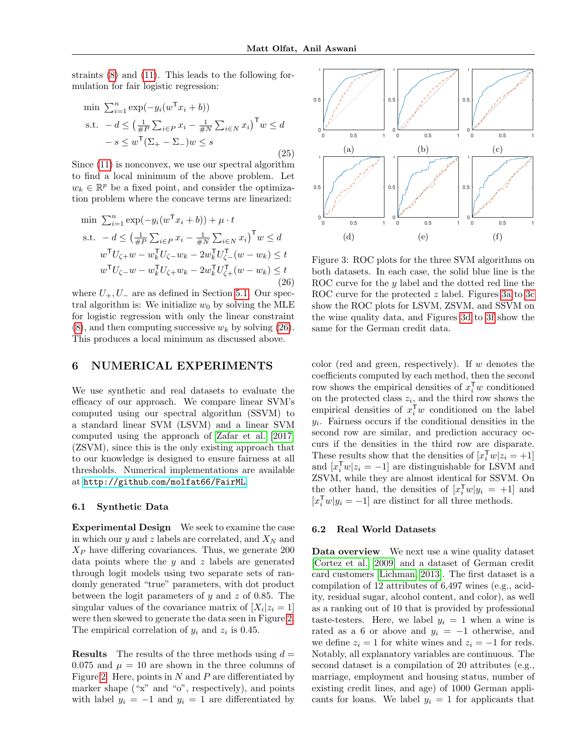straints [\(8\)](#page-3-0) and [\(11\)](#page-3-1). This leads to the following formulation for fair logistic regression:

$$
\min \sum_{i=1}^{n} \exp(-y_i(w^{\mathsf{T}} x_i + b))
$$
\n
$$
\text{s.t. } -d \le \left(\frac{1}{\#P} \sum_{i \in P} x_i - \frac{1}{\#N} \sum_{i \in N} x_i\right)^{\mathsf{T}} w \le d
$$
\n
$$
-s \le w^{\mathsf{T}} (\Sigma_+ - \Sigma_-) w \le s
$$
\n
$$
(25)
$$

Since [\(11\)](#page-3-1) is nonconvex, we use our spectral algorithm to find a local minimum of the above problem. Let  $w_k \in \mathbb{R}^p$  be a fixed point, and consider the optimization problem where the concave terms are linearized:

<span id="page-6-1"></span>
$$
\begin{aligned}\n\min \ \sum_{i=1}^{n} \exp(-y_i(w^{\mathsf{T}} x_i + b)) + \mu \cdot t \\
\text{s.t.} \quad -d &\le \left(\frac{1}{\#P} \sum_{i \in P} x_i - \frac{1}{\#N} \sum_{i \in N} x_i\right)^{\mathsf{T}} w \le d \\
w^{\mathsf{T}} U_{\zeta +} w - w_k^{\mathsf{T}} U_{\zeta -} w_k - 2w_k^{\mathsf{T}} U_{\zeta -}^{\mathsf{T}} (w - w_k) \le t \\
w^{\mathsf{T}} U_{\zeta -} w - w_k^{\mathsf{T}} U_{\zeta +} w_k - 2w_k^{\mathsf{T}} U_{\zeta +}^{\mathsf{T}} (w - w_k) \le t \\
&\tag{26}\n\end{aligned}
$$

where  $U_+, U_-$  are as defined in Section [5.1.](#page-4-4) Our spectral algorithm is: We initialize  $w_0$  by solving the MLE for logistic regression with only the linear constraint  $(8)$ , and then computing successive  $w_k$  by solving  $(26)$ . This produces a local minimum as discussed above.

## <span id="page-6-0"></span>6 NUMERICAL EXPERIMENTS

We use synthetic and real datasets to evaluate the efficacy of our approach. We compare linear SVM's computed using our spectral algorithm (SSVM) to a standard linear SVM (LSVM) and a linear SVM computed using the approach of [Zafar et al.](#page-9-1) [\[2017\]](#page-9-1) (ZSVM), since this is the only existing approach that to our knowledge is designed to ensure fairness at all thresholds. Numerical implementations are available at http://github.[com/molfat66/FairML](http://github.com/molfat66/FairML).

#### 6.1 Synthetic Data

Experimental Design We seek to examine the case in which our  $y$  and  $z$  labels are correlated, and  $X_N$  and  $X_P$  have differing covariances. Thus, we generate 200 data points where the  $y$  and  $z$  labels are generated through logit models using two separate sets of randomly generated "true" parameters, with dot product between the logit parameters of  $y$  and  $z$  of 0.85. The singular values of the covariance matrix of  $[X_i|z_i=1]$ were then skewed to generate the data seen in Figure [2.](#page-5-1) The empirical correlation of  $y_i$  and  $z_i$  is 0.45.

**Results** The results of the three methods using  $d =$ 0.075 and  $\mu = 10$  are shown in the three columns of Figure [2.](#page-5-1) Here, points in  $N$  and  $P$  are differentiated by marker shape ("x" and "o", respectively), and points with label  $y_i = -1$  and  $y_i = 1$  are differentiated by

<span id="page-6-2"></span>

Figure 3: ROC plots for the three SVM algorithms on both datasets. In each case, the solid blue line is the ROC curve for the y label and the dotted red line the ROC curve for the protected z label. Figures [3a](#page-6-2) to [3c](#page-6-2) show the ROC plots for LSVM, ZSVM, and SSVM on the wine quality data, and Figures [3d](#page-6-2) to [3f](#page-6-2) show the same for the German credit data.

color (red and green, respectively). If w denotes the coefficients computed by each method, then the second row shows the empirical densities of  $x_i^{\mathsf{T}} w$  conditioned on the protected class  $z_i$ , and the third row shows the empirical densities of  $x_i^{\mathsf{T}} w$  conditioned on the label  $y_i$ . Fairness occurs if the conditional densities in the second row are similar, and prediction accuracy occurs if the densities in the third row are disparate. These results show that the densities of  $[x_i^Tw]z_i = +1$ and  $[x_i^{\mathsf{T}} w | z_i = -1]$  are distinguishable for LSVM and ZSVM, while they are almost identical for SSVM. On the other hand, the densities of  $[x_i^{\mathsf{T}} w | y_i = +1]$  and  $[x_i^{\mathsf{T}} w | y_i = -1]$  are distinct for all three methods.

#### 6.2 Real World Datasets

Data overview We next use a wine quality dataset [\[Cortez et al., 2009\]](#page-8-28) and a dataset of German credit card customers [\[Lichman, 2013\]](#page-8-29). The first dataset is a compilation of 12 attributes of 6,497 wines (e.g., acidity, residual sugar, alcohol content, and color), as well as a ranking out of 10 that is provided by professional taste-testers. Here, we label  $y_i = 1$  when a wine is rated as a 6 or above and  $y_i = -1$  otherwise, and we define  $z_i = 1$  for white wines and  $z_i = -1$  for reds. Notably, all explanatory variables are continuous. The second dataset is a compilation of 20 attributes (e.g., marriage, employment and housing status, number of existing credit lines, and age) of 1000 German applicants for loans. We label  $y_i = 1$  for applicants that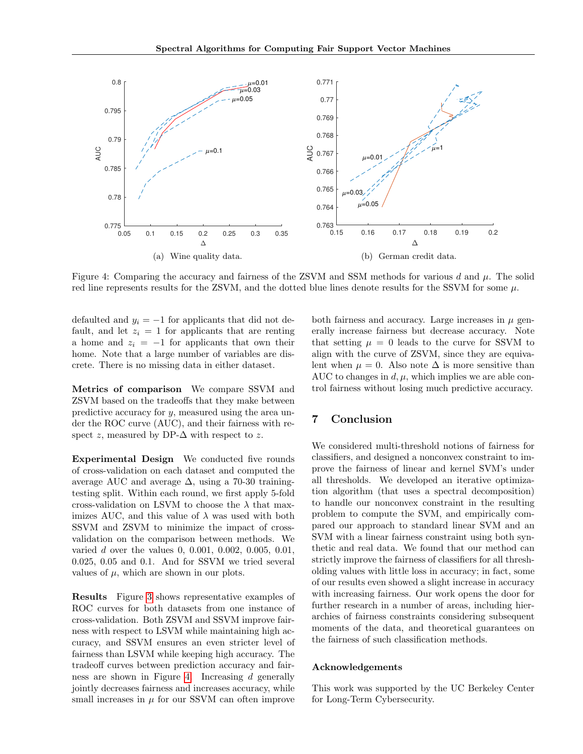<span id="page-7-0"></span>

Figure 4: Comparing the accuracy and fairness of the ZSVM and SSM methods for various d and  $\mu$ . The solid red line represents results for the ZSVM, and the dotted blue lines denote results for the SSVM for some  $\mu$ .

defaulted and  $y_i = -1$  for applicants that did not default, and let  $z_i = 1$  for applicants that are renting a home and  $z_i = -1$  for applicants that own their home. Note that a large number of variables are discrete. There is no missing data in either dataset.

Metrics of comparison We compare SSVM and ZSVM based on the tradeoffs that they make between predictive accuracy for y, measured using the area under the ROC curve (AUC), and their fairness with respect z, measured by DP- $\Delta$  with respect to z.

Experimental Design We conducted five rounds of cross-validation on each dataset and computed the average AUC and average  $\Delta$ , using a 70-30 trainingtesting split. Within each round, we first apply 5-fold cross-validation on LSVM to choose the  $\lambda$  that maximizes AUC, and this value of  $\lambda$  was used with both SSVM and ZSVM to minimize the impact of crossvalidation on the comparison between methods. We varied d over the values 0, 0.001, 0.002, 0.005, 0.01, 0.025, 0.05 and 0.1. And for SSVM we tried several values of  $\mu$ , which are shown in our plots.

Results Figure [3](#page-6-2) shows representative examples of ROC curves for both datasets from one instance of cross-validation. Both ZSVM and SSVM improve fairness with respect to LSVM while maintaining high accuracy, and SSVM ensures an even stricter level of fairness than LSVM while keeping high accuracy. The tradeoff curves between prediction accuracy and fairness are shown in Figure [4.](#page-7-0) Increasing d generally jointly decreases fairness and increases accuracy, while small increases in  $\mu$  for our SSVM can often improve

both fairness and accuracy. Large increases in  $\mu$  generally increase fairness but decrease accuracy. Note that setting  $\mu = 0$  leads to the curve for SSVM to align with the curve of ZSVM, since they are equivalent when  $\mu = 0$ . Also note  $\Delta$  is more sensitive than AUC to changes in  $d, \mu$ , which implies we are able control fairness without losing much predictive accuracy.

# 7 Conclusion

We considered multi-threshold notions of fairness for classifiers, and designed a nonconvex constraint to improve the fairness of linear and kernel SVM's under all thresholds. We developed an iterative optimization algorithm (that uses a spectral decomposition) to handle our nonconvex constraint in the resulting problem to compute the SVM, and empirically compared our approach to standard linear SVM and an SVM with a linear fairness constraint using both synthetic and real data. We found that our method can strictly improve the fairness of classifiers for all thresholding values with little loss in accuracy; in fact, some of our results even showed a slight increase in accuracy with increasing fairness. Our work opens the door for further research in a number of areas, including hierarchies of fairness constraints considering subsequent moments of the data, and theoretical guarantees on the fairness of such classification methods.

#### Acknowledgements

This work was supported by the UC Berkeley Center for Long-Term Cybersecurity.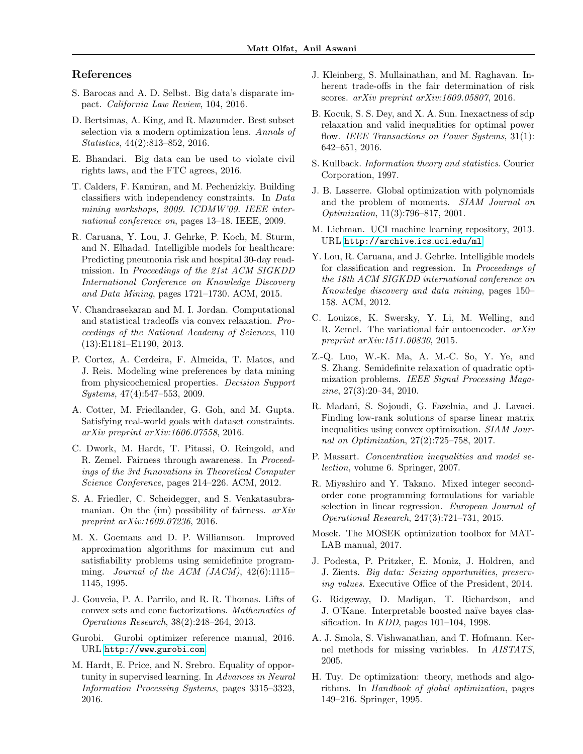# References

- <span id="page-8-4"></span>S. Barocas and A. D. Selbst. Big data's disparate impact. California Law Review, 104, 2016.
- <span id="page-8-14"></span>D. Bertsimas, A. King, and R. Mazumder. Best subset selection via a modern optimization lens. Annals of Statistics, 44(2):813–852, 2016.
- <span id="page-8-5"></span>E. Bhandari. Big data can be used to violate civil rights laws, and the FTC agrees, 2016.
- <span id="page-8-8"></span>T. Calders, F. Kamiran, and M. Pechenizkiy. Building classifiers with independency constraints. In Data mining workshops, 2009. ICDMW'09. IEEE international conference on, pages 13–18. IEEE, 2009.
- <span id="page-8-2"></span>R. Caruana, Y. Lou, J. Gehrke, P. Koch, M. Sturm, and N. Elhadad. Intelligible models for healthcare: Predicting pneumonia risk and hospital 30-day readmission. In Proceedings of the 21st ACM SIGKDD International Conference on Knowledge Discovery and Data Mining, pages 1721–1730. ACM, 2015.
- <span id="page-8-19"></span>V. Chandrasekaran and M. I. Jordan. Computational and statistical tradeoffs via convex relaxation. Proceedings of the National Academy of Sciences, 110 (13):E1181–E1190, 2013.
- <span id="page-8-28"></span>P. Cortez, A. Cerdeira, F. Almeida, T. Matos, and J. Reis. Modeling wine preferences by data mining from physicochemical properties. Decision Support Systems, 47(4):547–553, 2009.
- <span id="page-8-12"></span>A. Cotter, M. Friedlander, G. Goh, and M. Gupta. Satisfying real-world goals with dataset constraints. arXiv preprint arXiv:1606.07558, 2016.
- <span id="page-8-9"></span>C. Dwork, M. Hardt, T. Pitassi, O. Reingold, and R. Zemel. Fairness through awareness. In Proceedings of the 3rd Innovations in Theoretical Computer Science Conference, pages 214–226. ACM, 2012.
- <span id="page-8-6"></span>S. A. Friedler, C. Scheidegger, and S. Venkatasubramanian. On the  $(im)$  possibility of fairness.  $arXiv$ preprint arXiv:1609.07236, 2016.
- <span id="page-8-22"></span>M. X. Goemans and D. P. Williamson. Improved approximation algorithms for maximum cut and satisfiability problems using semidefinite programming. Journal of the ACM (JACM),  $42(6):1115-$ 1145, 1995.
- <span id="page-8-18"></span>J. Gouveia, P. A. Parrilo, and R. R. Thomas. Lifts of convex sets and cone factorizations. Mathematics of Operations Research, 38(2):248–264, 2013.
- <span id="page-8-15"></span>Gurobi. Gurobi optimizer reference manual, 2016. URL [http://www](http://www.gurobi.com).gurobi.com.
- <span id="page-8-10"></span>M. Hardt, E. Price, and N. Srebro. Equality of opportunity in supervised learning. In Advances in Neural Information Processing Systems, pages 3315–3323, 2016.
- <span id="page-8-7"></span>J. Kleinberg, S. Mullainathan, and M. Raghavan. Inherent trade-offs in the fair determination of risk scores. *arXiv preprint arXiv:1609.05807*, 2016.
- <span id="page-8-24"></span>B. Kocuk, S. S. Dey, and X. A. Sun. Inexactness of sdp relaxation and valid inequalities for optimal power flow. IEEE Transactions on Power Systems, 31(1): 642–651, 2016.
- <span id="page-8-21"></span>S. Kullback. Information theory and statistics. Courier Corporation, 1997.
- <span id="page-8-17"></span>J. B. Lasserre. Global optimization with polynomials and the problem of moments. SIAM Journal on Optimization, 11(3):796–817, 2001.
- <span id="page-8-29"></span>M. Lichman. UCI machine learning repository, 2013. URL [http://archive](http://archive.ics.uci.edu/ml).ics.uci.edu/ml.
- <span id="page-8-1"></span>Y. Lou, R. Caruana, and J. Gehrke. Intelligible models for classification and regression. In Proceedings of the 18th ACM SIGKDD international conference on Knowledge discovery and data mining, pages 150– 158. ACM, 2012.
- <span id="page-8-11"></span>C. Louizos, K. Swersky, Y. Li, M. Welling, and R. Zemel. The variational fair autoencoder. arXiv preprint arXiv:1511.00830, 2015.
- <span id="page-8-23"></span>Z.-Q. Luo, W.-K. Ma, A. M.-C. So, Y. Ye, and S. Zhang. Semidefinite relaxation of quadratic optimization problems. IEEE Signal Processing Magazine, 27(3):20–34, 2010.
- <span id="page-8-25"></span>R. Madani, S. Sojoudi, G. Fazelnia, and J. Lavaei. Finding low-rank solutions of sparse linear matrix inequalities using convex optimization. SIAM Journal on Optimization, 27(2):725–758, 2017.
- <span id="page-8-20"></span>P. Massart. Concentration inequalities and model selection, volume 6. Springer, 2007.
- <span id="page-8-13"></span>R. Miyashiro and Y. Takano. Mixed integer secondorder cone programming formulations for variable selection in linear regression. European Journal of Operational Research, 247(3):721–731, 2015.
- <span id="page-8-16"></span>Mosek. The MOSEK optimization toolbox for MAT-LAB manual, 2017.
- <span id="page-8-3"></span>J. Podesta, P. Pritzker, E. Moniz, J. Holdren, and J. Zients. Big data: Seizing opportunities, preserving values. Executive Office of the President, 2014.
- <span id="page-8-0"></span>G. Ridgeway, D. Madigan, T. Richardson, and J. O'Kane. Interpretable boosted naïve bayes classification. In KDD, pages 101–104, 1998.
- <span id="page-8-27"></span>A. J. Smola, S. Vishwanathan, and T. Hofmann. Kernel methods for missing variables. In AISTATS, 2005.
- <span id="page-8-26"></span>H. Tuy. Dc optimization: theory, methods and algorithms. In Handbook of global optimization, pages 149–216. Springer, 1995.